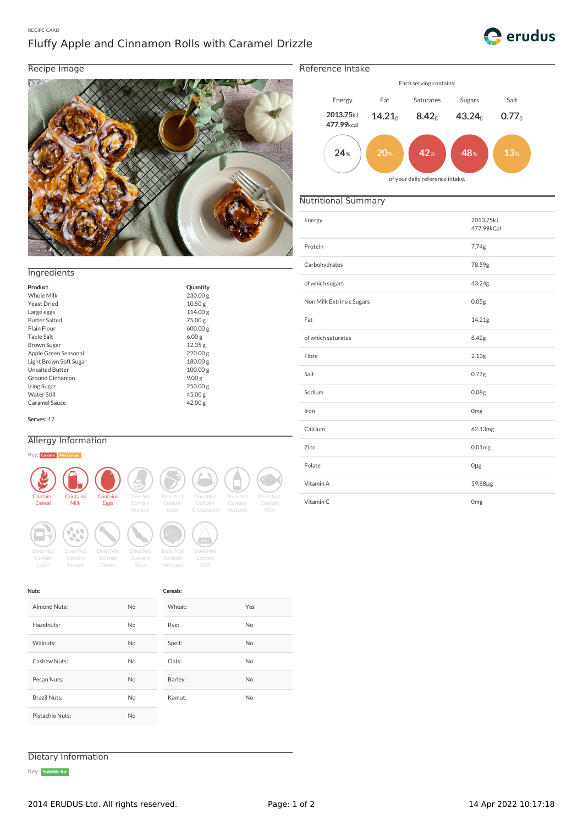### RECIPE CARD

# Fluffy Apple and Cinnamon Rolls with Caramel Drizzle



# Recipe Image



## **Ingredients**

| Product                | Quantity           |
|------------------------|--------------------|
| Whole Milk             | 230.00 g           |
|                        |                    |
| Yeast Dried            | 10.50 <sub>g</sub> |
| Large eggs             | 114.00 g           |
| <b>Butter Salted</b>   | 75.00 g            |
| Plain Flour            | 600.00 g           |
| Table Salt             | 6.00g              |
| Brown Sugar            | 12.35 g            |
| Apple Green Seasonal   | 220.00 g           |
| Light Brown Soft Sugar | 180.00 g           |
| <b>Unsalted Butter</b> | 100.00 g           |
| Ground Cinnamon        | 9.00g              |
| Icing Sugar            | 250.00 g           |
| <b>Water Still</b>     | 45.00 g            |
| Caramel Sauce          | 42.00 g            |

Serves: 12

Nuts:

## Allergy Information

#### Key: C



Almond Nuts: No Hazelnuts: No Walnuts: No Cashew Nuts: No Pecan Nuts: No Brazil Nuts: No Pistachio Nuts: No

**Peanuts**<br>Peanuts Does Not<br>Peanuts Nuts Nuts Does Not<br>
Does Not<br>
Nuts Crustacear **Source Source Contain**<br>
Soya Molluscs **Mollusch Contain**<br>Contain Does Not<br>Molluscs SO2

Cereals:

Wheat: Yes Rye: No Spelt: No Oats: No Barley: No Kamut: No



Reference Intake



# Nutritional Summary

|                                                                                                                                                                                                                                        | Energy                    | 2013.75kJ<br>477.99kCal |
|----------------------------------------------------------------------------------------------------------------------------------------------------------------------------------------------------------------------------------------|---------------------------|-------------------------|
|                                                                                                                                                                                                                                        | Protein                   | 7.74g                   |
| ngredients                                                                                                                                                                                                                             | Carbohydrates             | 78.59g                  |
| roduct<br>Quantity                                                                                                                                                                                                                     | of which sugars           | 43.24g                  |
| <b>Vhole Milk</b><br>230.00g<br>east Dried<br>10.50 <sub>g</sub>                                                                                                                                                                       | Non Milk Extrinsic Sugars | 0.05 <sub>g</sub>       |
| 114.00g<br>arge eggs<br><b>Butter Salted</b><br>75.00 g<br>lain Flour<br>600.00g                                                                                                                                                       | Fat                       | 14.21g                  |
| able Salt<br>6.00 <sub>g</sub><br>Brown Sugar<br>12.35g                                                                                                                                                                                | of which saturates        | 8.42g                   |
| Apple Green Seasonal<br>220.00g<br>ight Brown Soft Sugar<br>180.00g                                                                                                                                                                    | Fibre                     | 2.13g                   |
| <b>Jnsalted Butter</b><br>100.00 g<br>Ground Cinnamon<br>9.00 <sub>g</sub>                                                                                                                                                             | Salt                      | 0.77g                   |
| cing Sugar<br>250.00g<br>Vater Still<br>45.00 g                                                                                                                                                                                        | Sodium                    | 0.08 <sub>g</sub>       |
| Caramel Sauce<br>42.00 g<br>ierves: 12                                                                                                                                                                                                 | Iron                      | Omg                     |
|                                                                                                                                                                                                                                        | Calcium                   | 62.13mg                 |
| <b>Allergy Information</b><br>(ey: Contains May Contain                                                                                                                                                                                | Zinc                      | 0.01mg                  |
|                                                                                                                                                                                                                                        | Folate                    | $0\mug$                 |
|                                                                                                                                                                                                                                        | Vitamin A                 | 59.88µg                 |
| Contains<br>Does Not<br>Does Not<br>Does Not<br>Contains<br>Contains<br>Does Not<br>Does Not<br>Milk<br>Contain<br>Contain<br>Contain<br>Contain<br>Cereal<br>Eggs<br>Contain<br>Crustaceans Mustard<br>Fish<br>Peanuts<br><b>Nuts</b> | Vitamin C                 | Omg                     |

Dietary Information

Key: Suitable for